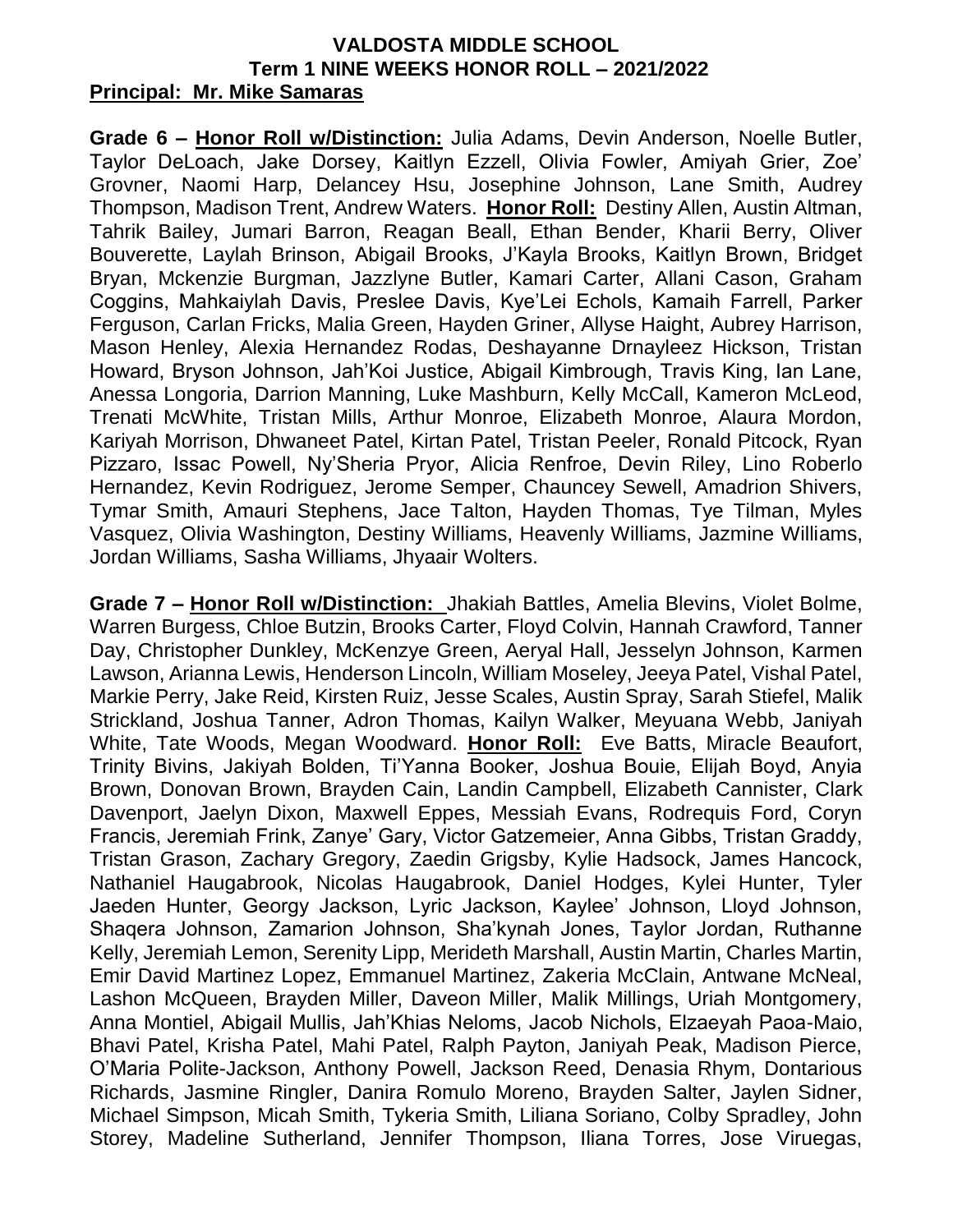## **VALDOSTA MIDDLE SCHOOL Term 1 NINE WEEKS HONOR ROLL – 2021/2022 Principal: Mr. Mike Samaras**

**Grade 6 – Honor Roll w/Distinction:** Julia Adams, Devin Anderson, Noelle Butler, Taylor DeLoach, Jake Dorsey, Kaitlyn Ezzell, Olivia Fowler, Amiyah Grier, Zoe' Grovner, Naomi Harp, Delancey Hsu, Josephine Johnson, Lane Smith, Audrey Thompson, Madison Trent, Andrew Waters. **Honor Roll:** Destiny Allen, Austin Altman, Tahrik Bailey, Jumari Barron, Reagan Beall, Ethan Bender, Kharii Berry, Oliver Bouverette, Laylah Brinson, Abigail Brooks, J'Kayla Brooks, Kaitlyn Brown, Bridget Bryan, Mckenzie Burgman, Jazzlyne Butler, Kamari Carter, Allani Cason, Graham Coggins, Mahkaiylah Davis, Preslee Davis, Kye'Lei Echols, Kamaih Farrell, Parker Ferguson, Carlan Fricks, Malia Green, Hayden Griner, Allyse Haight, Aubrey Harrison, Mason Henley, Alexia Hernandez Rodas, Deshayanne Drnayleez Hickson, Tristan Howard, Bryson Johnson, Jah'Koi Justice, Abigail Kimbrough, Travis King, Ian Lane, Anessa Longoria, Darrion Manning, Luke Mashburn, Kelly McCall, Kameron McLeod, Trenati McWhite, Tristan Mills, Arthur Monroe, Elizabeth Monroe, Alaura Mordon, Kariyah Morrison, Dhwaneet Patel, Kirtan Patel, Tristan Peeler, Ronald Pitcock, Ryan Pizzaro, Issac Powell, Ny'Sheria Pryor, Alicia Renfroe, Devin Riley, Lino Roberlo Hernandez, Kevin Rodriguez, Jerome Semper, Chauncey Sewell, Amadrion Shivers, Tymar Smith, Amauri Stephens, Jace Talton, Hayden Thomas, Tye Tilman, Myles Vasquez, Olivia Washington, Destiny Williams, Heavenly Williams, Jazmine Williams, Jordan Williams, Sasha Williams, Jhyaair Wolters.

**Grade 7 – Honor Roll w/Distinction:** Jhakiah Battles, Amelia Blevins, Violet Bolme, Warren Burgess, Chloe Butzin, Brooks Carter, Floyd Colvin, Hannah Crawford, Tanner Day, Christopher Dunkley, McKenzye Green, Aeryal Hall, Jesselyn Johnson, Karmen Lawson, Arianna Lewis, Henderson Lincoln, William Moseley, Jeeya Patel, Vishal Patel, Markie Perry, Jake Reid, Kirsten Ruiz, Jesse Scales, Austin Spray, Sarah Stiefel, Malik Strickland, Joshua Tanner, Adron Thomas, Kailyn Walker, Meyuana Webb, Janiyah White, Tate Woods, Megan Woodward. **Honor Roll:** Eve Batts, Miracle Beaufort, Trinity Bivins, Jakiyah Bolden, Ti'Yanna Booker, Joshua Bouie, Elijah Boyd, Anyia Brown, Donovan Brown, Brayden Cain, Landin Campbell, Elizabeth Cannister, Clark Davenport, Jaelyn Dixon, Maxwell Eppes, Messiah Evans, Rodrequis Ford, Coryn Francis, Jeremiah Frink, Zanye' Gary, Victor Gatzemeier, Anna Gibbs, Tristan Graddy, Tristan Grason, Zachary Gregory, Zaedin Grigsby, Kylie Hadsock, James Hancock, Nathaniel Haugabrook, Nicolas Haugabrook, Daniel Hodges, Kylei Hunter, Tyler Jaeden Hunter, Georgy Jackson, Lyric Jackson, Kaylee' Johnson, Lloyd Johnson, Shaqera Johnson, Zamarion Johnson, Sha'kynah Jones, Taylor Jordan, Ruthanne Kelly, Jeremiah Lemon, Serenity Lipp, Merideth Marshall, Austin Martin, Charles Martin, Emir David Martinez Lopez, Emmanuel Martinez, Zakeria McClain, Antwane McNeal, Lashon McQueen, Brayden Miller, Daveon Miller, Malik Millings, Uriah Montgomery, Anna Montiel, Abigail Mullis, Jah'Khias Neloms, Jacob Nichols, Elzaeyah Paoa-Maio, Bhavi Patel, Krisha Patel, Mahi Patel, Ralph Payton, Janiyah Peak, Madison Pierce, O'Maria Polite-Jackson, Anthony Powell, Jackson Reed, Denasia Rhym, Dontarious Richards, Jasmine Ringler, Danira Romulo Moreno, Brayden Salter, Jaylen Sidner, Michael Simpson, Micah Smith, Tykeria Smith, Liliana Soriano, Colby Spradley, John Storey, Madeline Sutherland, Jennifer Thompson, Iliana Torres, Jose Viruegas,